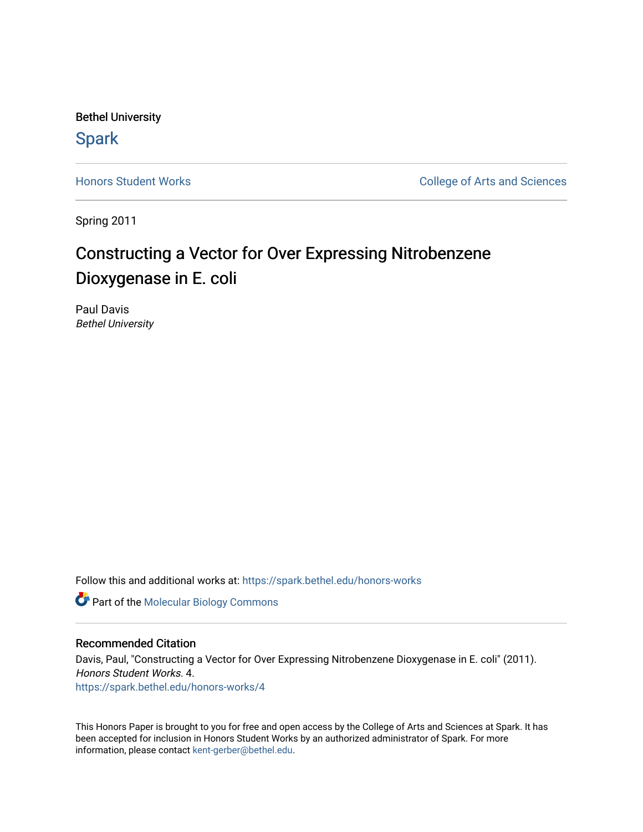Bethel University

# **Spark**

[Honors Student Works](https://spark.bethel.edu/honors-works) **College of Arts and Sciences** 

Spring 2011

# Constructing a Vector for Over Expressing Nitrobenzene Dioxygenase in E. coli

Paul Davis Bethel University

Follow this and additional works at: [https://spark.bethel.edu/honors-works](https://spark.bethel.edu/honors-works?utm_source=spark.bethel.edu%2Fhonors-works%2F4&utm_medium=PDF&utm_campaign=PDFCoverPages) 

**Part of the [Molecular Biology Commons](http://network.bepress.com/hgg/discipline/5?utm_source=spark.bethel.edu%2Fhonors-works%2F4&utm_medium=PDF&utm_campaign=PDFCoverPages)** 

#### Recommended Citation

Davis, Paul, "Constructing a Vector for Over Expressing Nitrobenzene Dioxygenase in E. coli" (2011). Honors Student Works. 4. [https://spark.bethel.edu/honors-works/4](https://spark.bethel.edu/honors-works/4?utm_source=spark.bethel.edu%2Fhonors-works%2F4&utm_medium=PDF&utm_campaign=PDFCoverPages) 

This Honors Paper is brought to you for free and open access by the College of Arts and Sciences at Spark. It has been accepted for inclusion in Honors Student Works by an authorized administrator of Spark. For more information, please contact [kent-gerber@bethel.edu.](mailto:kent-gerber@bethel.edu)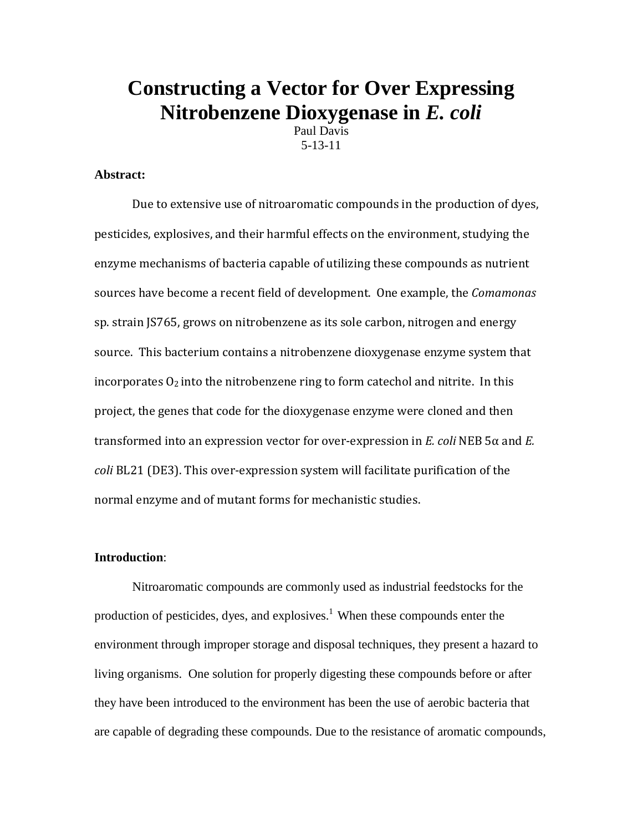# **Constructing a Vector for Over Expressing Nitrobenzene Dioxygenase in** *E. coli*

Paul Davis 5-13-11

### **Abstract:**

Due to extensive use of nitroaromatic compounds in the production of dyes, pesticides, explosives, and their harmful effects on the environment, studying the enzyme mechanisms of bacteria capable of utilizing these compounds as nutrient sources have become a recent field of development. One example, the *Comamonas* sp. strain JS765, grows on nitrobenzene as its sole carbon, nitrogen and energy source. This bacterium contains a nitrobenzene dioxygenase enzyme system that incorporates  $O_2$  into the nitrobenzene ring to form catechol and nitrite. In this project, the genes that code for the dioxygenase enzyme were cloned and then transformed into an expression vector for over-expression in *E. coli* NEB 5α and *E. coli* BL21 (DE3). This over-expression system will facilitate purification of the normal enzyme and of mutant forms for mechanistic studies.

## **Introduction**:

Nitroaromatic compounds are commonly used as industrial feedstocks for the production of pesticides, dyes, and explosives.<sup>1</sup> When these compounds enter the environment through improper storage and disposal techniques, they present a hazard to living organisms. One solution for properly digesting these compounds before or after they have been introduced to the environment has been the use of aerobic bacteria that are capable of degrading these compounds. Due to the resistance of aromatic compounds,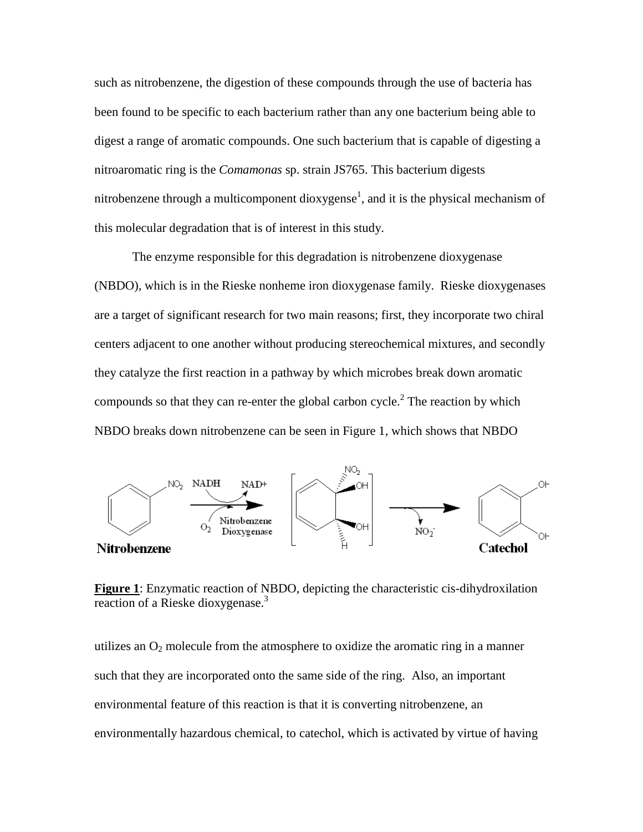such as nitrobenzene, the digestion of these compounds through the use of bacteria has been found to be specific to each bacterium rather than any one bacterium being able to digest a range of aromatic compounds. One such bacterium that is capable of digesting a nitroaromatic ring is the *Comamonas* sp. strain JS765. This bacterium digests nitrobenzene through a multicomponent dioxygense<sup>1</sup>, and it is the physical mechanism of this molecular degradation that is of interest in this study.

The enzyme responsible for this degradation is nitrobenzene dioxygenase (NBDO), which is in the Rieske nonheme iron dioxygenase family. Rieske dioxygenases are a target of significant research for two main reasons; first, they incorporate two chiral centers adjacent to one another without producing stereochemical mixtures, and secondly they catalyze the first reaction in a pathway by which microbes break down aromatic compounds so that they can re-enter the global carbon cycle.<sup>2</sup> The reaction by which NBDO breaks down nitrobenzene can be seen in Figure 1, which shows that NBDO



**Figure 1**: Enzymatic reaction of NBDO, depicting the characteristic cis-dihydroxilation reaction of a Rieske dioxygenase.3

utilizes an  $O_2$  molecule from the atmosphere to oxidize the aromatic ring in a manner such that they are incorporated onto the same side of the ring. Also, an important environmental feature of this reaction is that it is converting nitrobenzene, an environmentally hazardous chemical, to catechol, which is activated by virtue of having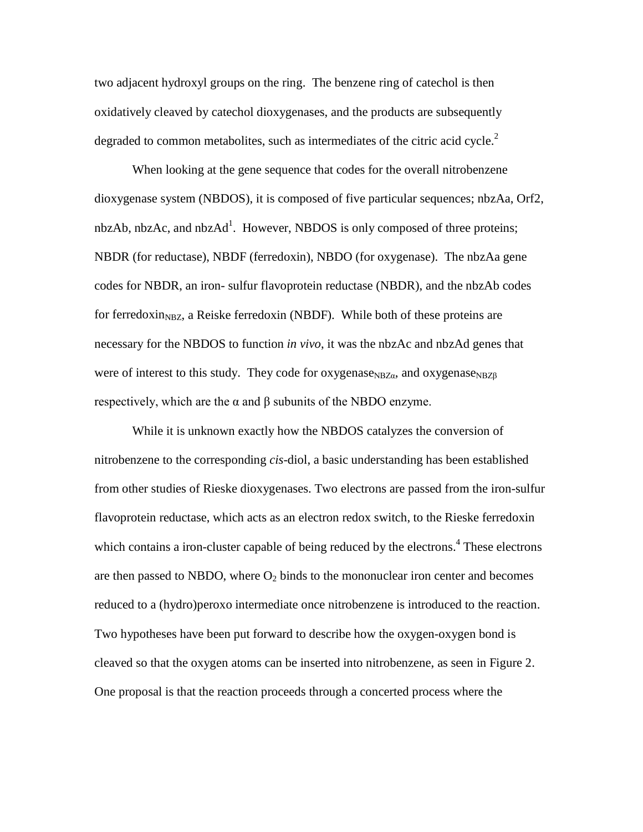two adjacent hydroxyl groups on the ring. The benzene ring of catechol is then oxidatively cleaved by catechol dioxygenases, and the products are subsequently degraded to common metabolites, such as intermediates of the citric acid cycle.<sup>2</sup>

When looking at the gene sequence that codes for the overall nitrobenzene dioxygenase system (NBDOS), it is composed of five particular sequences; nbzAa, Orf2, nbzAb, nbzAc, and nbzAd<sup>1</sup>. However, NBDOS is only composed of three proteins; NBDR (for reductase), NBDF (ferredoxin), NBDO (for oxygenase). The nbzAa gene codes for NBDR, an iron- sulfur flavoprotein reductase (NBDR), and the nbzAb codes for ferredoxin<sub>NBZ</sub>, a Reiske ferredoxin (NBDF). While both of these proteins are necessary for the NBDOS to function *in vivo*, it was the nbzAc and nbzAd genes that were of interest to this study. They code for oxygenase<sub>NBZα</sub>, and oxygenase<sub>NBZβ</sub> respectively, which are the α and β subunits of the NBDO enzyme.

While it is unknown exactly how the NBDOS catalyzes the conversion of nitrobenzene to the corresponding *cis*-diol, a basic understanding has been established from other studies of Rieske dioxygenases. Two electrons are passed from the iron-sulfur flavoprotein reductase, which acts as an electron redox switch, to the Rieske ferredoxin which contains a iron-cluster capable of being reduced by the electrons.<sup>4</sup> These electrons are then passed to NBDO, where  $O_2$  binds to the mononuclear iron center and becomes reduced to a (hydro)peroxo intermediate once nitrobenzene is introduced to the reaction. Two hypotheses have been put forward to describe how the oxygen-oxygen bond is cleaved so that the oxygen atoms can be inserted into nitrobenzene, as seen in Figure 2. One proposal is that the reaction proceeds through a concerted process where the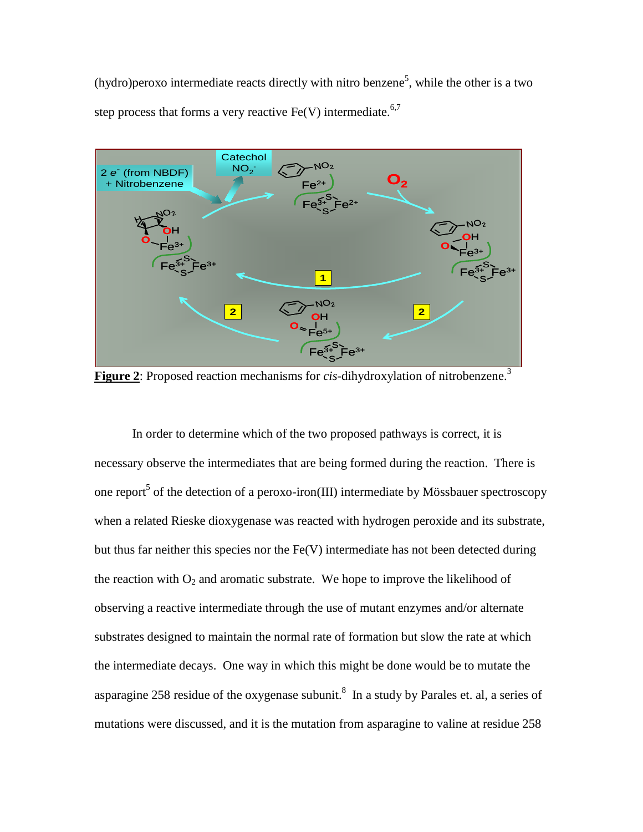(hydro) peroxo intermediate reacts directly with nitro benzene<sup>5</sup>, while the other is a two step process that forms a very reactive  $Fe(V)$  intermediate.<sup>6,7</sup>



**Figure 2:** Proposed reaction mechanisms for *cis*-dihydroxylation of nitrobenzene.<sup>3</sup>

In order to determine which of the two proposed pathways is correct, it is necessary observe the intermediates that are being formed during the reaction. There is one report<sup>5</sup> of the detection of a peroxo-iron(III) intermediate by Mössbauer spectroscopy when a related Rieske dioxygenase was reacted with hydrogen peroxide and its substrate, but thus far neither this species nor the  $Fe(V)$  intermediate has not been detected during the reaction with  $O_2$  and aromatic substrate. We hope to improve the likelihood of observing a reactive intermediate through the use of mutant enzymes and/or alternate substrates designed to maintain the normal rate of formation but slow the rate at which the intermediate decays. One way in which this might be done would be to mutate the asparagine 258 residue of the oxygenase subunit.<sup>8</sup> In a study by Parales et. al, a series of mutations were discussed, and it is the mutation from asparagine to valine at residue 258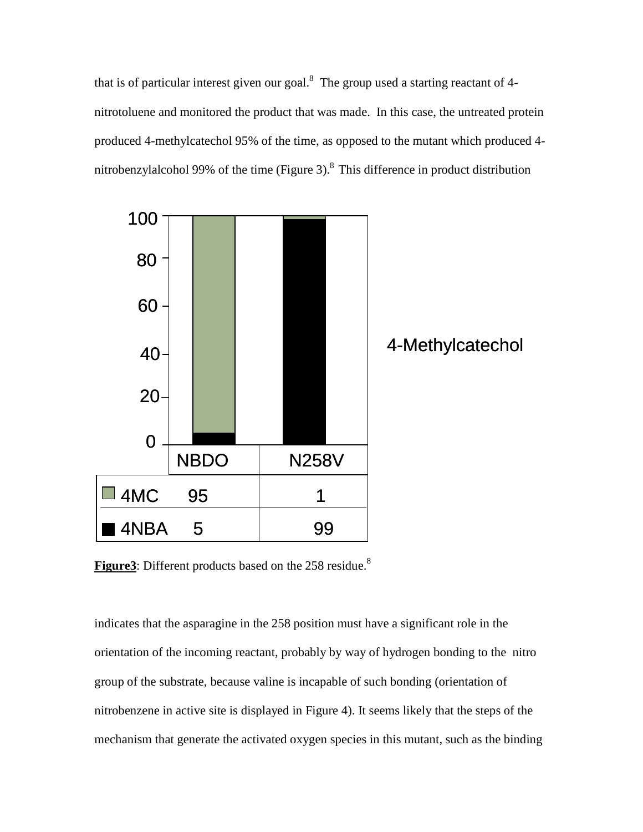that is of particular interest given our goal. $8$  The group used a starting reactant of 4nitrotoluene and monitored the product that was made. In this case, the untreated protein produced 4-methylcatechol 95% of the time, as opposed to the mutant which produced 4 nitrobenzylalcohol 99% of the time (Figure 3). $8$  This difference in product distribution



**Figure3**: Different products based on the 258 residue.<sup>8</sup>

indicates that the asparagine in the 258 position must have a significant role in the orientation of the incoming reactant, probably by way of hydrogen bonding to the nitro group of the substrate, because valine is incapable of such bonding (orientation of nitrobenzene in active site is displayed in Figure 4). It seems likely that the steps of the mechanism that generate the activated oxygen species in this mutant, such as the binding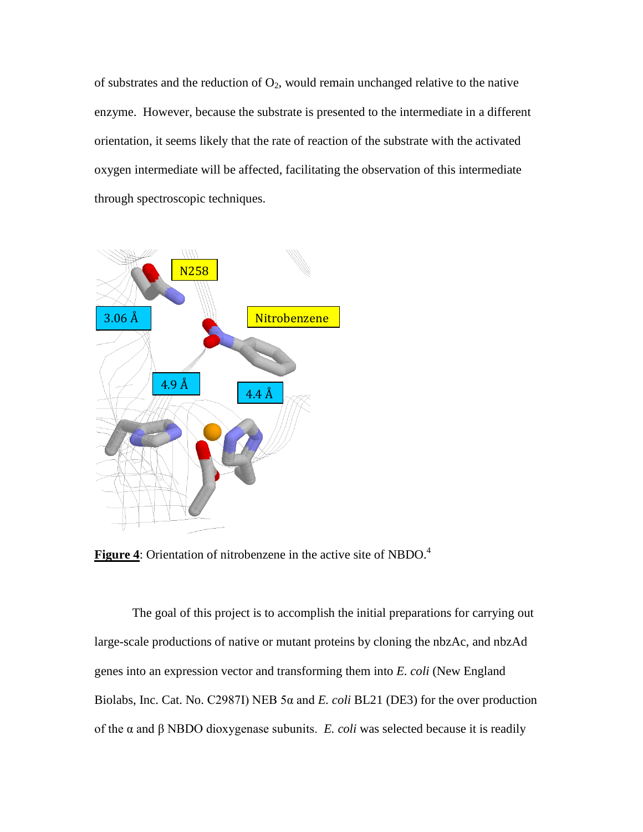of substrates and the reduction of  $O_2$ , would remain unchanged relative to the native enzyme. However, because the substrate is presented to the intermediate in a different orientation, it seems likely that the rate of reaction of the substrate with the activated oxygen intermediate will be affected, facilitating the observation of this intermediate through spectroscopic techniques.





The goal of this project is to accomplish the initial preparations for carrying out large-scale productions of native or mutant proteins by cloning the nbzAc, and nbzAd genes into an expression vector and transforming them into *E. coli* (New England Biolabs, Inc. Cat. No. C2987I) NEB 5α and *E. coli* BL21 (DE3) for the over production of the α and β NBDO dioxygenase subunits. *E. coli* was selected because it is readily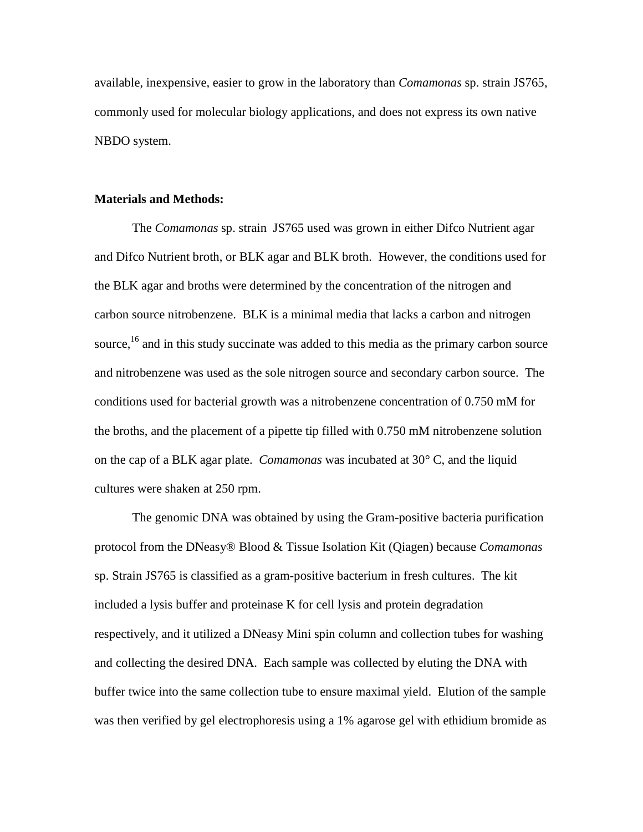available, inexpensive, easier to grow in the laboratory than *Comamonas* sp. strain JS765, commonly used for molecular biology applications, and does not express its own native NBDO system.

#### **Materials and Methods:**

The *Comamonas* sp. strain JS765 used was grown in either Difco Nutrient agar and Difco Nutrient broth, or BLK agar and BLK broth. However, the conditions used for the BLK agar and broths were determined by the concentration of the nitrogen and carbon source nitrobenzene. BLK is a minimal media that lacks a carbon and nitrogen source,<sup>16</sup> and in this study succinate was added to this media as the primary carbon source and nitrobenzene was used as the sole nitrogen source and secondary carbon source. The conditions used for bacterial growth was a nitrobenzene concentration of 0.750 mM for the broths, and the placement of a pipette tip filled with 0.750 mM nitrobenzene solution on the cap of a BLK agar plate. *Comamonas* was incubated at 30° C, and the liquid cultures were shaken at 250 rpm.

The genomic DNA was obtained by using the Gram-positive bacteria purification protocol from the DNeasy® Blood & Tissue Isolation Kit (Qiagen) because *Comamonas* sp. Strain JS765 is classified as a gram-positive bacterium in fresh cultures. The kit included a lysis buffer and proteinase K for cell lysis and protein degradation respectively, and it utilized a DNeasy Mini spin column and collection tubes for washing and collecting the desired DNA. Each sample was collected by eluting the DNA with buffer twice into the same collection tube to ensure maximal yield. Elution of the sample was then verified by gel electrophoresis using a 1% agarose gel with ethidium bromide as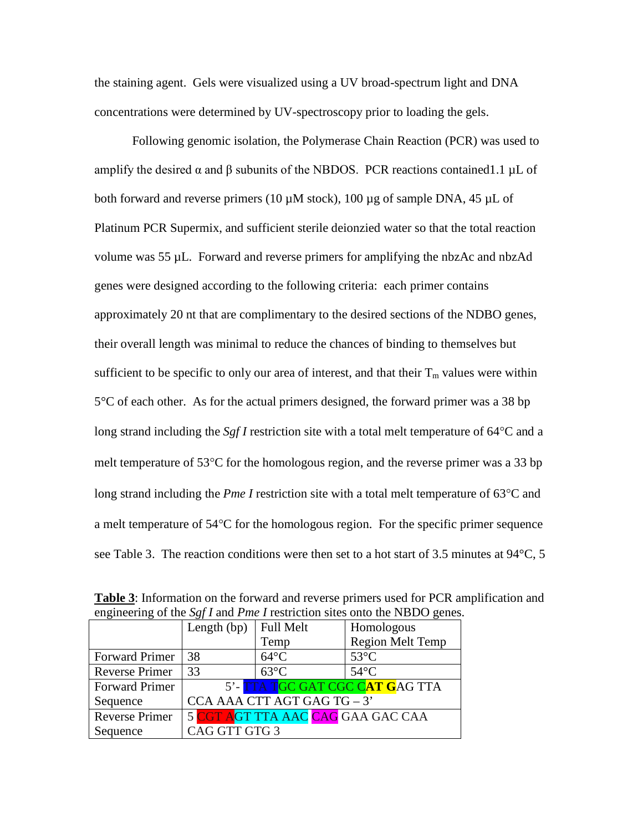the staining agent. Gels were visualized using a UV broad-spectrum light and DNA concentrations were determined by UV-spectroscopy prior to loading the gels.

Following genomic isolation, the Polymerase Chain Reaction (PCR) was used to amplify the desired  $\alpha$  and  $\beta$  subunits of the NBDOS. PCR reactions contained1.1 µL of both forward and reverse primers (10  $\mu$ M stock), 100  $\mu$ g of sample DNA, 45  $\mu$ L of Platinum PCR Supermix, and sufficient sterile deionzied water so that the total reaction volume was 55 µL. Forward and reverse primers for amplifying the nbzAc and nbzAd genes were designed according to the following criteria: each primer contains approximately 20 nt that are complimentary to the desired sections of the NDBO genes, their overall length was minimal to reduce the chances of binding to themselves but sufficient to be specific to only our area of interest, and that their  $T_m$  values were within 5°C of each other. As for the actual primers designed, the forward primer was a 38 bp long strand including the *Sgf I* restriction site with a total melt temperature of 64°C and a melt temperature of 53°C for the homologous region, and the reverse primer was a 33 bp long strand including the *Pme I* restriction site with a total melt temperature of 63°C and a melt temperature of 54°C for the homologous region. For the specific primer sequence see Table 3. The reaction conditions were then set to a hot start of 3.5 minutes at 94°C, 5

|                       | Length (bp)   | <b>Full Melt</b>                  | Homologous                      |
|-----------------------|---------------|-----------------------------------|---------------------------------|
|                       |               | Temp                              | <b>Region Melt Temp</b>         |
| <b>Forward Primer</b> | 38            | $64^{\circ}$ C                    | $53^{\circ}$ C                  |
| <b>Reverse Primer</b> | 33            | $63^{\circ}$ C                    | $54^{\circ}$ C                  |
| <b>Forward Primer</b> |               |                                   | 5'- TTA TGC GAT CGC CAT GAG TTA |
| Sequence              |               | CCA AAA CTT AGT GAG TG - 3'       |                                 |
| <b>Reverse Primer</b> |               | 5 CGT AGT TTA AAC CAG GAA GAC CAA |                                 |
| Sequence              | CAG GTT GTG 3 |                                   |                                 |

**Table 3**: Information on the forward and reverse primers used for PCR amplification and engineering of the *Sgf I* and *Pme I* restriction sites onto the NBDO genes.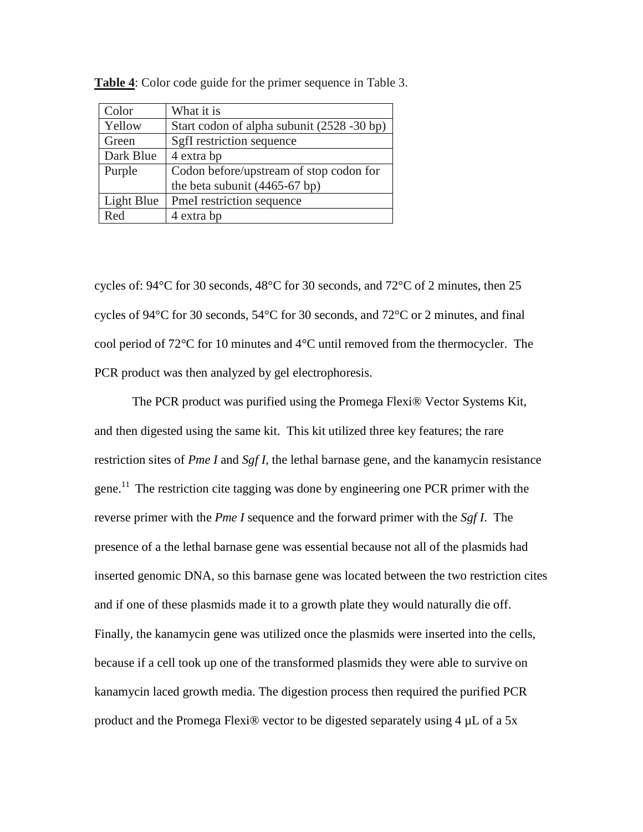| Color      | What it is                                 |
|------------|--------------------------------------------|
| Yellow     | Start codon of alpha subunit (2528 -30 bp) |
| Green      | SgfI restriction sequence                  |
| Dark Blue  | 4 extra bp                                 |
| Purple     | Codon before/upstream of stop codon for    |
|            | the beta subunit (4465-67 bp)              |
| Light Blue | PmeI restriction sequence                  |
| Red        | 4 extra bp                                 |

**Table 4**: Color code guide for the primer sequence in Table 3.

cycles of: 94°C for 30 seconds, 48°C for 30 seconds, and 72°C of 2 minutes, then 25 cycles of 94°C for 30 seconds, 54°C for 30 seconds, and 72°C or 2 minutes, and final cool period of 72°C for 10 minutes and 4°C until removed from the thermocycler. The PCR product was then analyzed by gel electrophoresis.

The PCR product was purified using the Promega Flexi® Vector Systems Kit, and then digested using the same kit. This kit utilized three key features; the rare restriction sites of *Pme I* and *Sgf I*, the lethal barnase gene, and the kanamycin resistance gene.<sup>11</sup> The restriction cite tagging was done by engineering one PCR primer with the reverse primer with the *Pme I* sequence and the forward primer with the *Sgf I*. The presence of a the lethal barnase gene was essential because not all of the plasmids had inserted genomic DNA, so this barnase gene was located between the two restriction cites and if one of these plasmids made it to a growth plate they would naturally die off. Finally, the kanamycin gene was utilized once the plasmids were inserted into the cells, because if a cell took up one of the transformed plasmids they were able to survive on kanamycin laced growth media. The digestion process then required the purified PCR product and the Promega Flexi® vector to be digested separately using 4 µL of a 5x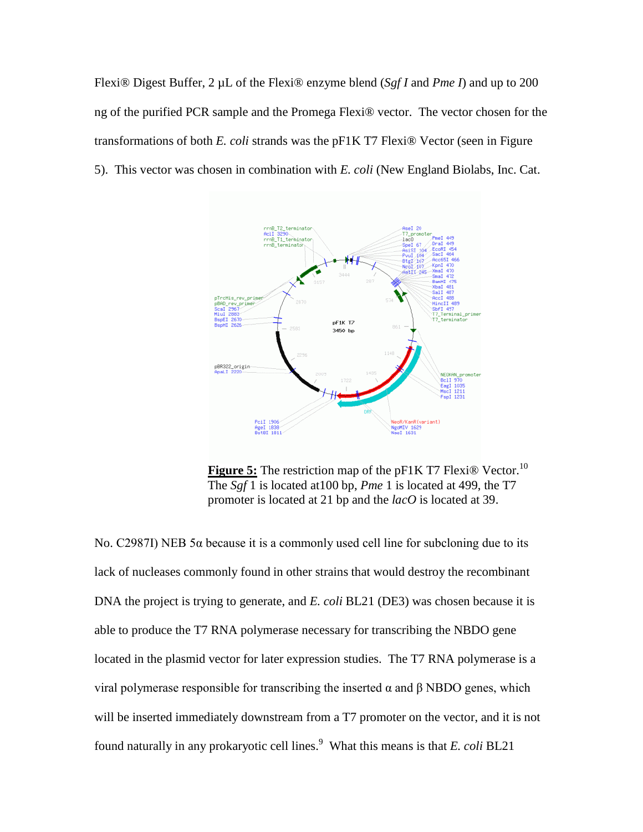Flexi® Digest Buffer, 2 µL of the Flexi® enzyme blend (*Sgf I* and *Pme I*) and up to 200 ng of the purified PCR sample and the Promega Flexi® vector. The vector chosen for the transformations of both *E. coli* strands was the pF1K T7 Flexi® Vector (seen in Figure 5). This vector was chosen in combination with *E. coli* (New England Biolabs, Inc. Cat.



**Figure 5:** The restriction map of the pF1K T7 Flexi<sup>®</sup> Vector.<sup>10</sup> The *Sgf* 1 is located at100 bp, *Pme* 1 is located at 499, the T7 promoter is located at 21 bp and the *lacO* is located at 39.

No. C2987I) NEB 5 $\alpha$  because it is a commonly used cell line for subcloning due to its lack of nucleases commonly found in other strains that would destroy the recombinant DNA the project is trying to generate, and *E. coli* BL21 (DE3) was chosen because it is able to produce the T7 RNA polymerase necessary for transcribing the NBDO gene located in the plasmid vector for later expression studies. The T7 RNA polymerase is a viral polymerase responsible for transcribing the inserted α and β NBDO genes, which will be inserted immediately downstream from a T7 promoter on the vector, and it is not found naturally in any prokaryotic cell lines.<sup>9</sup> What this means is that *E. coli* BL21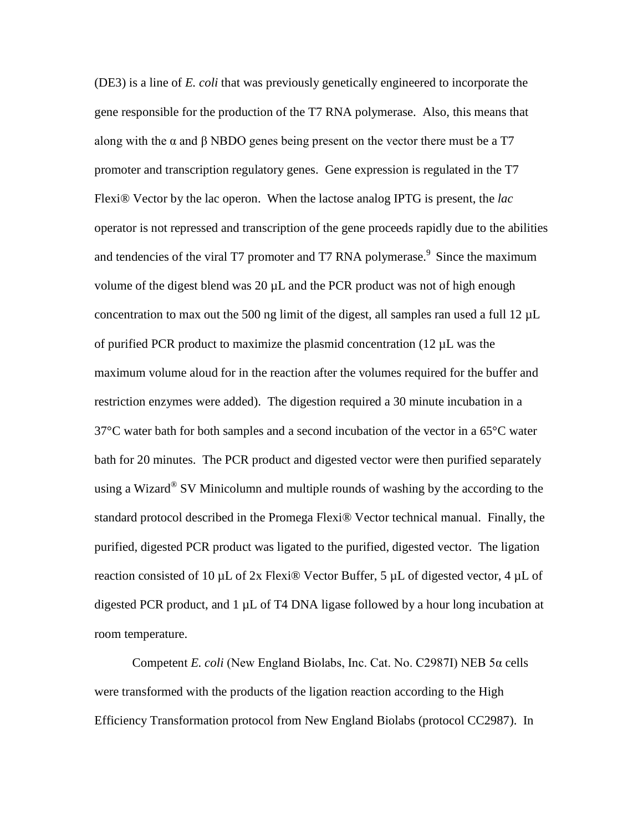(DE3) is a line of *E. coli* that was previously genetically engineered to incorporate the gene responsible for the production of the T7 RNA polymerase. Also, this means that along with the  $\alpha$  and  $\beta$  NBDO genes being present on the vector there must be a T7 promoter and transcription regulatory genes. Gene expression is regulated in the T7 Flexi® Vector by the lac operon. When the lactose analog IPTG is present, the *lac* operator is not repressed and transcription of the gene proceeds rapidly due to the abilities and tendencies of the viral T7 promoter and T7 RNA polymerase.<sup>9</sup> Since the maximum volume of the digest blend was  $20 \mu L$  and the PCR product was not of high enough concentration to max out the 500 ng limit of the digest, all samples ran used a full 12  $\mu$ L of purified PCR product to maximize the plasmid concentration  $(12 \mu L)$  was the maximum volume aloud for in the reaction after the volumes required for the buffer and restriction enzymes were added). The digestion required a 30 minute incubation in a 37°C water bath for both samples and a second incubation of the vector in a 65°C water bath for 20 minutes. The PCR product and digested vector were then purified separately using a Wizard<sup>®</sup> SV Minicolumn and multiple rounds of washing by the according to the standard protocol described in the Promega Flexi® Vector technical manual. Finally, the purified, digested PCR product was ligated to the purified, digested vector. The ligation reaction consisted of 10  $\mu$ L of 2x Flexi® Vector Buffer, 5  $\mu$ L of digested vector, 4  $\mu$ L of digested PCR product, and  $1 \mu$ L of T4 DNA ligase followed by a hour long incubation at room temperature.

Competent *E. coli* (New England Biolabs, Inc. Cat. No. C2987I) NEB 5α cells were transformed with the products of the ligation reaction according to the High Efficiency Transformation protocol from New England Biolabs (protocol CC2987). In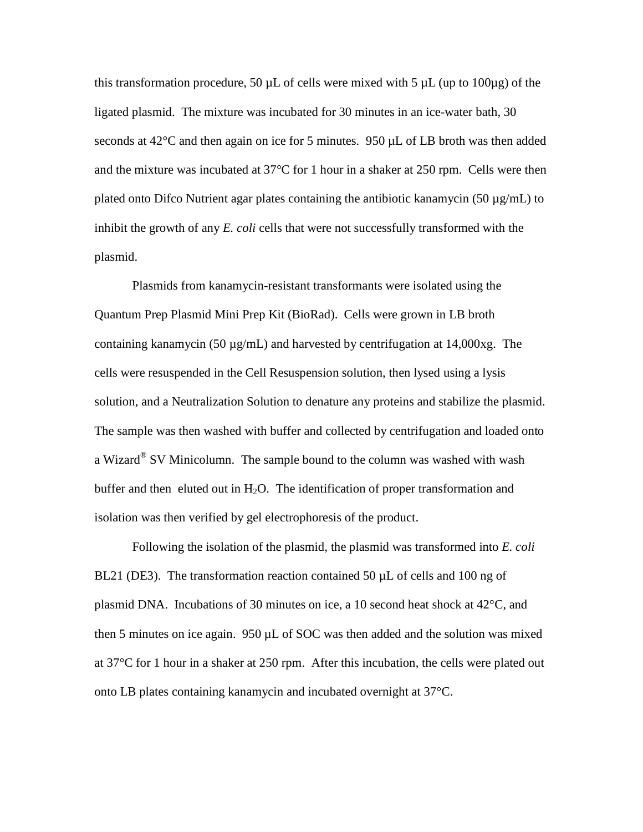this transformation procedure, 50  $\mu$ L of cells were mixed with 5  $\mu$ L (up to 100 $\mu$ g) of the ligated plasmid. The mixture was incubated for 30 minutes in an ice-water bath, 30 seconds at  $42^{\circ}$ C and then again on ice for 5 minutes. 950  $\mu$ L of LB broth was then added and the mixture was incubated at 37°C for 1 hour in a shaker at 250 rpm. Cells were then plated onto Difco Nutrient agar plates containing the antibiotic kanamycin (50  $\mu$ g/mL) to inhibit the growth of any *E. coli* cells that were not successfully transformed with the plasmid.

Plasmids from kanamycin-resistant transformants were isolated using the Quantum Prep Plasmid Mini Prep Kit (BioRad). Cells were grown in LB broth containing kanamycin (50  $\mu$ g/mL) and harvested by centrifugation at 14,000xg. The cells were resuspended in the Cell Resuspension solution, then lysed using a lysis solution, and a Neutralization Solution to denature any proteins and stabilize the plasmid. The sample was then washed with buffer and collected by centrifugation and loaded onto a Wizard® SV Minicolumn. The sample bound to the column was washed with wash buffer and then eluted out in  $H_2O$ . The identification of proper transformation and isolation was then verified by gel electrophoresis of the product.

Following the isolation of the plasmid, the plasmid was transformed into *E. coli* BL21 (DE3). The transformation reaction contained 50  $\mu$ L of cells and 100 ng of plasmid DNA. Incubations of 30 minutes on ice, a 10 second heat shock at 42°C, and then 5 minutes on ice again.  $950 \mu L$  of SOC was then added and the solution was mixed at 37°C for 1 hour in a shaker at 250 rpm. After this incubation, the cells were plated out onto LB plates containing kanamycin and incubated overnight at 37°C.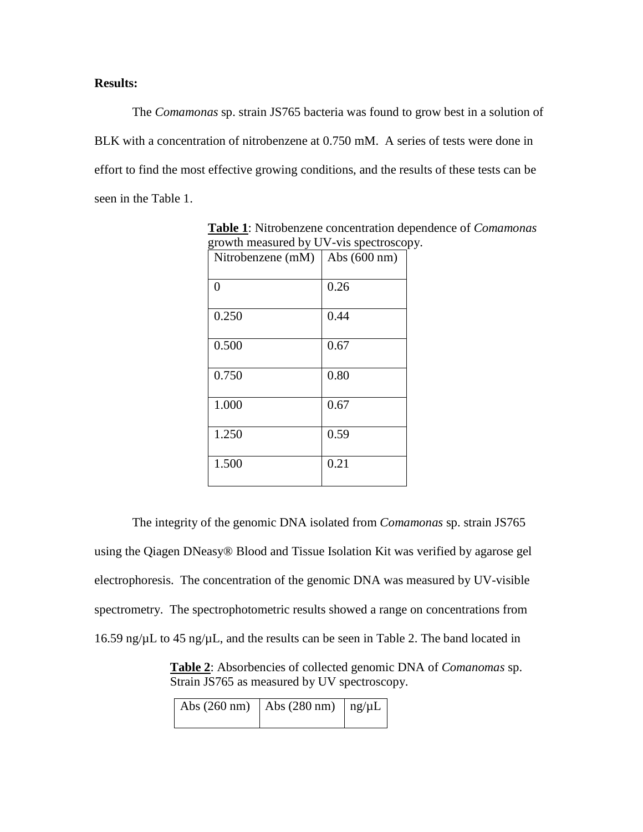# **Results:**

The *Comamonas* sp. strain JS765 bacteria was found to grow best in a solution of BLK with a concentration of nitrobenzene at 0.750 mM. A series of tests were done in effort to find the most effective growing conditions, and the results of these tests can be seen in the Table 1.

| o<br>Nitrobenzene (mM) | Abs (600 nm) |
|------------------------|--------------|
| 0                      | 0.26         |
| 0.250                  | 0.44         |
| 0.500                  | 0.67         |
| 0.750                  | 0.80         |
| 1.000                  | 0.67         |
| 1.250                  | 0.59         |
| 1.500                  | 0.21         |

**Table 1** : Nitrobenzene concentration dependence of *Comamonas* growth measured by UV-vis spectroscopy.

The integrity of the genomic DNA isolated from *Comamonas* sp. strain JS765 using the Qiagen DNeasy® Blood and Tissue Isolation Kit was verified by agarose gel electrophoresis. The concentration of the genomic DNA was measured by UV-visible spectrometry. The spectrophotometric results showed a range on concentrations from 16.59 ng/ $\mu$ L to 45 ng/ $\mu$ L, and the results can be seen in Table 2. The band located in

**Table 2** : Absorbencies of collected genomic DNA of *Comanomas* sp. Strain JS765 as measured by UV spectroscopy.

| Abs $(260 \text{ nm})$ Abs $(280 \text{ nm})$   ng/ $\mu$ L |  |
|-------------------------------------------------------------|--|
|                                                             |  |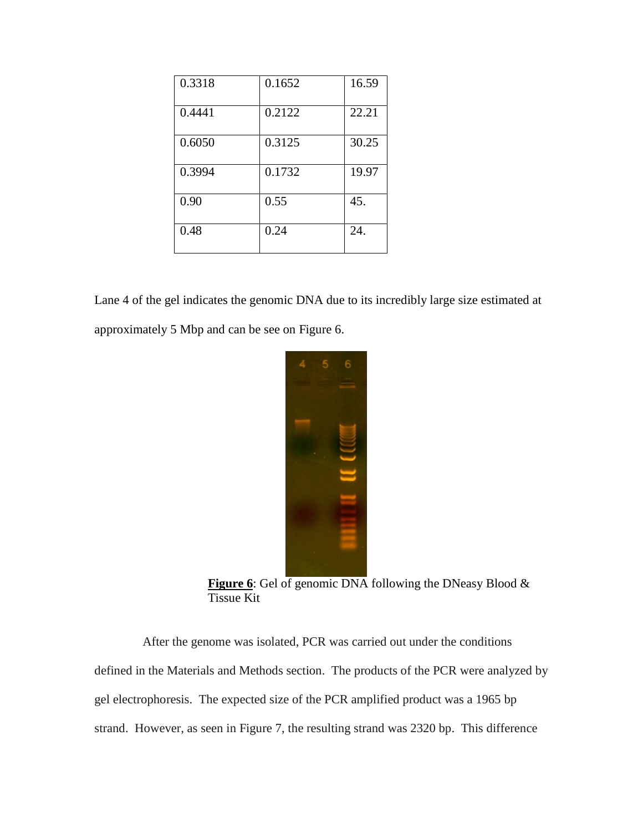| 0.3318 | 0.1652 | 16.59 |
|--------|--------|-------|
| 0.4441 | 0.2122 | 22.21 |
| 0.6050 | 0.3125 | 30.25 |
| 0.3994 | 0.1732 | 19.97 |
| 0.90   | 0.55   | 45.   |
| 0.48   | 0.24   | 24.   |

Lane 4 of the gel indicates the genomic DNA due to its incredibly large size estimated at approximately 5 Mbp and can be see on Figure 6.



**Figure 6**: Gel of genomic DNA following the DNeasy Blood & Tissue Kit

After the genome was isolated, PCR was carried out under the conditions defined in the Materials and Methods section. The products of the PCR were analyzed by gel electrophoresis. The expected size of the PCR amplified product was a 1965 bp strand. However, as seen in Figure 7, the resulting strand was 2320 bp. This difference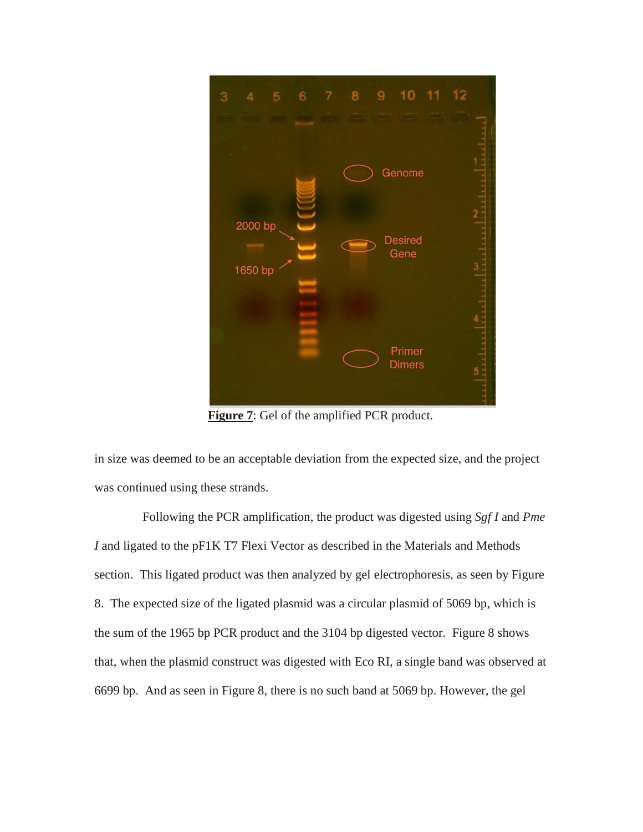

**Figure 7**: Gel of the amplified PCR product.

in size was deemed to be an acceptable deviation from the expected size, and the project was continued using these strands.

Following the PCR amplification, the product was digested using *Sgf I* and *Pme I* and ligated to the pF1K T7 Flexi Vector as described in the Materials and Methods section. This ligated product was then analyzed by gel electrophoresis, as seen by Figure 8. The expected size of the ligated plasmid was a circular plasmid of 5069 bp, which is the sum of the 1965 bp PCR product and the 3104 bp digested vector. Figure 8 shows that, when the plasmid construct was digested with Eco RI, a single band was observed at 6699 bp. And as seen in Figure 8, there is no such band at 5069 bp. However, the gel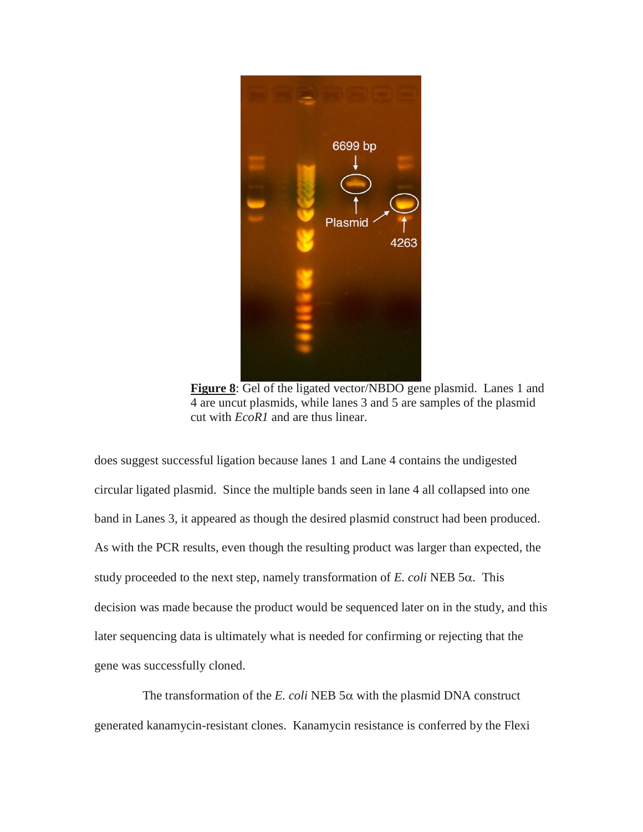

**Figure 8**: Gel of the ligated vector/NBDO gene plasmid. Lanes 1 and 4 are uncut plasmids, while lanes 3 and 5 are samples of the plasmid cut with *EcoR1* and are thus linear.

does suggest successful ligation because lanes 1 and Lane 4 contains the undigested circular ligated plasmid. Since the multiple bands seen in lane 4 all collapsed into one band in Lanes 3, it appeared as though the desired plasmid construct had been produced. As with the PCR results, even though the resulting product was larger than expected, the study proceeded to the next step, namely transformation of *E. coli* NEB 5α. This decision was made because the product would be sequenced later on in the study, and this later sequencing data is ultimately what is needed for confirming or rejecting that the gene was successfully cloned.

The transformation of the *E. coli* NEB  $5\alpha$  with the plasmid DNA construct generated kanamycin-resistant clones. Kanamycin resistance is conferred by the Flexi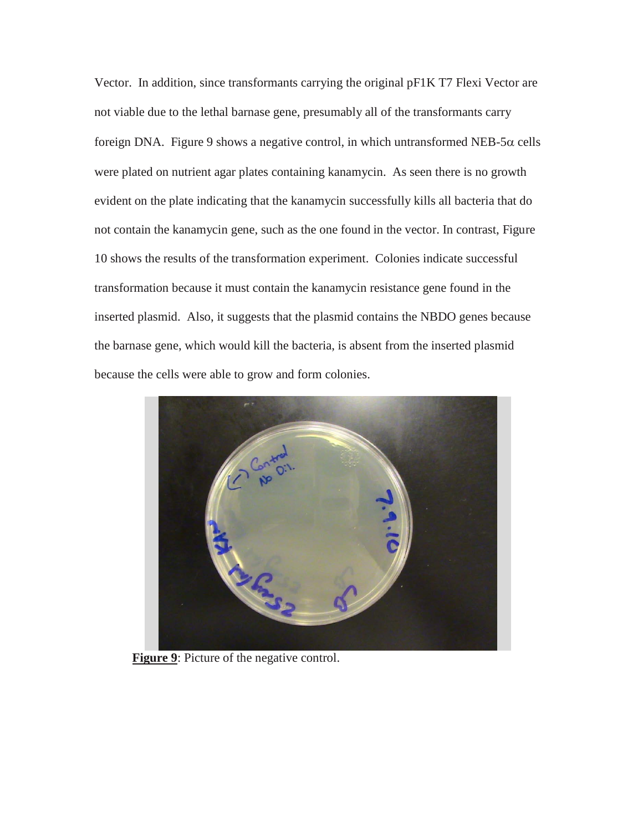Vector. In addition, since transformants carrying the original pF1K T7 Flexi Vector are not viable due to the lethal barnase gene, presumably all of the transformants carry foreign DNA. Figure 9 shows a negative control, in which untransformed NEB-5 $\alpha$  cells were plated on nutrient agar plates containing kanamycin. As seen there is no growth evident on the plate indicating that the kanamycin successfully kills all bacteria that do not contain the kanamycin gene, such as the one found in the vector. In contrast, Figure 10 shows the results of the transformation experiment. Colonies indicate successful transformation because it must contain the kanamycin resistance gene found in the inserted plasmid. Also, it suggests that the plasmid contains the NBDO genes because the barnase gene, which would kill the bacteria, is absent from the inserted plasmid because the cells were able to grow and form colonies.



**Figure 9:** Picture of the negative control.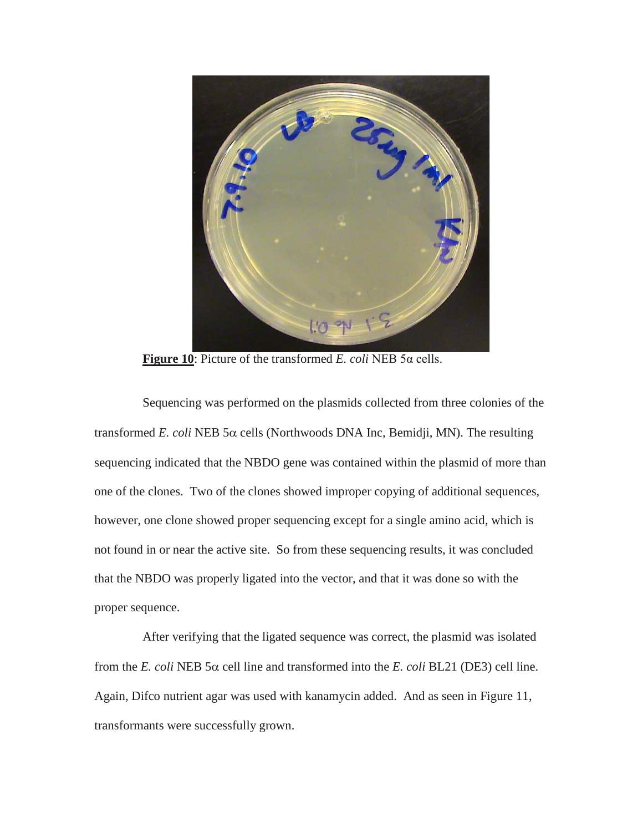

**Figure 10**: Picture of the transformed *E. coli* NEB 5α cells.

Sequencing was performed on the plasmids collected from three colonies of the transformed *E. coli* NEB 5α cells (Northwoods DNA Inc, Bemidji, MN). The resulting sequencing indicated that the NBDO gene was contained within the plasmid of more than one of the clones. Two of the clones showed improper copying of additional sequences, however, one clone showed proper sequencing except for a single amino acid, which is not found in or near the active site. So from these sequencing results, it was concluded that the NBDO was properly ligated into the vector, and that it was done so with the proper sequence.

After verifying that the ligated sequence was correct, the plasmid was isolated from the *E. coli* NEB 5α cell line and transformed into the *E. coli* BL21 (DE3) cell line. Again, Difco nutrient agar was used with kanamycin added. And as seen in Figure 11, transformants were successfully grown.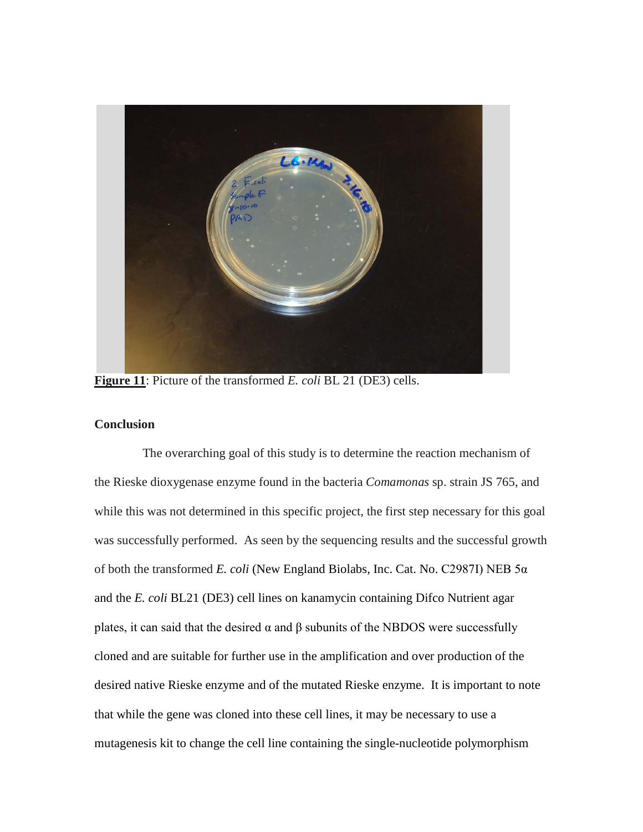

**Figure 11**: Picture of the transformed *E. coli* BL 21 (DE3) cells.

## **Conclusion**

The overarching goal of this study is to determine the reaction mechanism of the Rieske dioxygenase enzyme found in the bacteria *Comamonas* sp. strain JS 765, and while this was not determined in this specific project, the first step necessary for this goal was successfully performed. As seen by the sequencing results and the successful growth of both the transformed *E. coli* (New England Biolabs, Inc. Cat. No. C2987I) NEB 5α and the *E. coli* BL21 (DE3) cell lines on kanamycin containing Difco Nutrient agar plates, it can said that the desired  $\alpha$  and  $\beta$  subunits of the NBDOS were successfully cloned and are suitable for further use in the amplification and over production of the desired native Rieske enzyme and of the mutated Rieske enzyme. It is important to note that while the gene was cloned into these cell lines, it may be necessary to use a mutagenesis kit to change the cell line containing the single-nucleotide polymorphism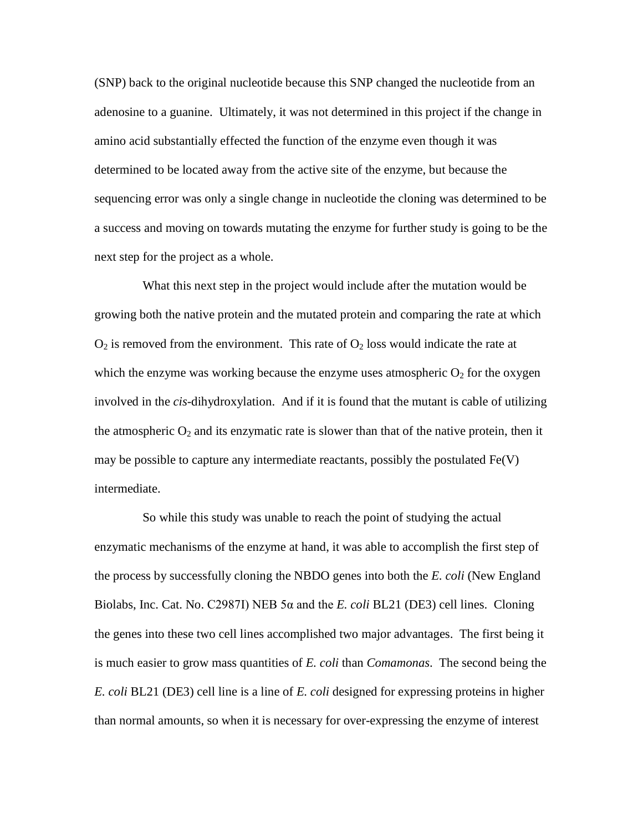(SNP) back to the original nucleotide because this SNP changed the nucleotide from an adenosine to a guanine. Ultimately, it was not determined in this project if the change in amino acid substantially effected the function of the enzyme even though it was determined to be located away from the active site of the enzyme, but because the sequencing error was only a single change in nucleotide the cloning was determined to be a success and moving on towards mutating the enzyme for further study is going to be the next step for the project as a whole.

What this next step in the project would include after the mutation would be growing both the native protein and the mutated protein and comparing the rate at which  $O_2$  is removed from the environment. This rate of  $O_2$  loss would indicate the rate at which the enzyme was working because the enzyme uses atmospheric  $O_2$  for the oxygen involved in the *cis*-dihydroxylation. And if it is found that the mutant is cable of utilizing the atmospheric  $O_2$  and its enzymatic rate is slower than that of the native protein, then it may be possible to capture any intermediate reactants, possibly the postulated  $Fe(V)$ intermediate.

So while this study was unable to reach the point of studying the actual enzymatic mechanisms of the enzyme at hand, it was able to accomplish the first step of the process by successfully cloning the NBDO genes into both the *E. coli* (New England Biolabs, Inc. Cat. No. C2987I) NEB 5α and the *E. coli* BL21 (DE3) cell lines. Cloning the genes into these two cell lines accomplished two major advantages. The first being it is much easier to grow mass quantities of *E. coli* than *Comamonas*. The second being the *E. coli* BL21 (DE3) cell line is a line of *E. coli* designed for expressing proteins in higher than normal amounts, so when it is necessary for over-expressing the enzyme of interest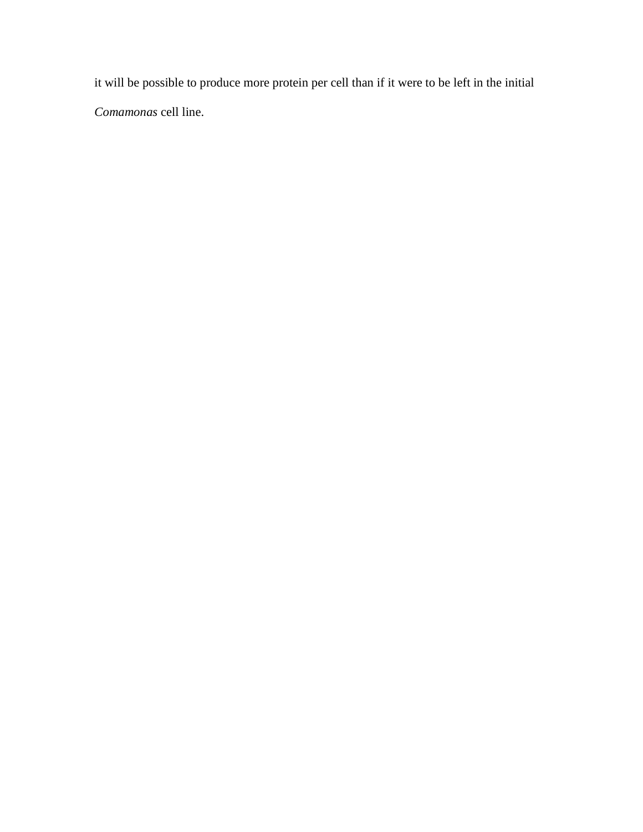it will be possible to produce more protein per cell than if it were to be left in the initial *Comamonas* cell line.